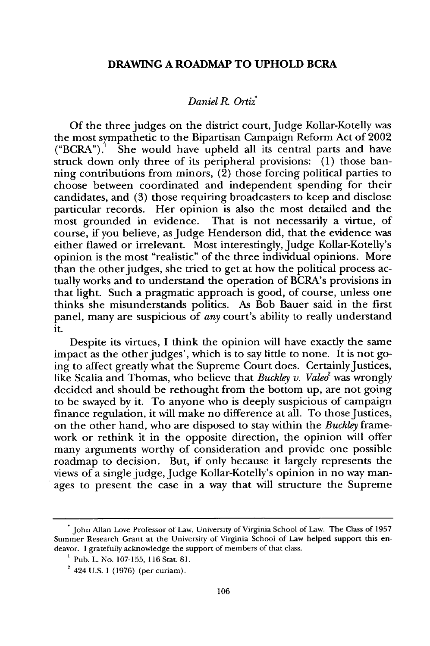## **DRAWING A ROADMAP TO UPHOLD BCRA**

## *Daniel R. Orti*

Of the three judges on the district court, Judge Kollar-Kotelly was the most sympathetic to the Bipartisan Campaign Reform Act of 2002 ("BCRA").' She would have upheld all its central parts and have struck down only three of its peripheral provisions: (1) those banning contributions from minors,  $(2)$  those forcing political parties to choose between coordinated and independent spending for their candidates, and (3) those requiring broadcasters to keep and disclose particular records. Her opinion is also the most detailed and the most grounded in evidence. That is not necessarily a virtue, of course, if you believe, as Judge Henderson did, that the evidence was either flawed or irrelevant. Most interestingly, Judge Kollar-Kotelly's opinion is the most "realistic" of the three individual opinions. More than the other judges, she tried to get at how the political process actually works and to understand the operation of BCRA's provisions in that light. Such a pragmatic approach is good, of course, unless one thinks she misunderstands politics. As Bob Bauer said in the first panel, many are suspicious of *any* court's ability to really understand it.

Despite its virtues, I think the opinion will have exactly the same impact as the other judges', which is to say little to none. It is not going to affect greatly what the Supreme Court does. Certainly Justices, like Scalia and Thomas, who believe that *Buckley v. Valeo*<sup>2</sup> was wrongly decided and should be rethought from the bottom up, are not going to be swayed by it. To anyone who is deeply suspicious of campaign finance regulation, it will make no difference at all. To those Justices, on the other hand, who are disposed to stay within the *Buckley* framework or rethink it in the opposite direction, the opinion will offer many arguments worthy of consideration and provide one possible roadmap to decision. But, if only because it largely represents the views of a single judge, Judge Kollar-Kotelly's opinion in no way manages to present the case in a way that will structure the Supreme

**<sup>.</sup>** John Allan Love Professor of Law, University of Virginia School of Law. The Class of 1957 Summer Research Grant at the University of Virginia School of Law helped support this endeavor. I gratefully acknowledge the support of members of that class.

<sup>&</sup>lt;sup>1</sup> Pub. L. No. 107-155, 116 Stat. 81.

 $2^{2}$  424 U.S. 1 (1976) (per curiam).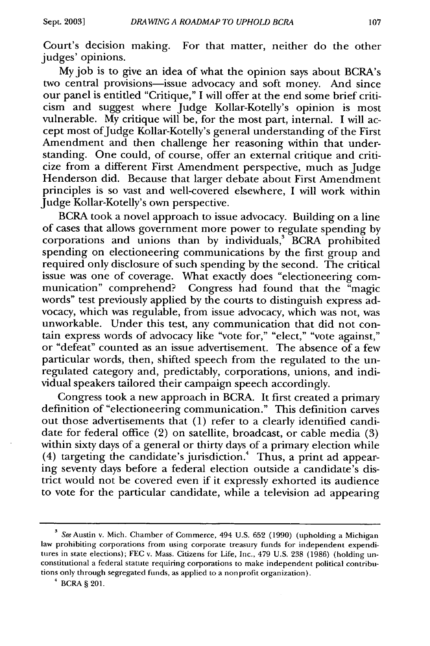Court's decision making. For that matter, neither do the other judges' opinions.

My job is to give an idea of what the opinion says about BCRA's two central provisions-issue advocacy and soft money. And since our panel is entitled "Critique," I will offer at the end some brief criticism and suggest where Judge Kollar-Kotelly's opinion is most vulnerable. My critique will be, for the most part, internal. I will accept most ofJudge Kollar-Kotelly's general understanding of the First Amendment and then challenge her reasoning within that understanding. One could, of course, offer an external critique and criticize from a different First Amendment perspective, much as Judge Henderson did. Because that larger debate about First Amendment principles is so vast and well-covered elsewhere, I will work within Judge Kollar-Kotelly's own perspective.

BCRA took a novel approach to issue advocacy. Building on a line of cases that allows government more power to regulate spending by corporations and unions than by individuals,<sup>3</sup> BCRA prohibited spending on electioneering communications by the first group and required only disclosure of such spending by the second. The critical issue was one of coverage. What exactly does "electioneering communication" comprehend? Congress had found that the "magic words" test previously applied by the courts to distinguish express advocacy, which was regulable, from issue advocacy, which was not, was unworkable. Under this test, any communication that did not contain express words of advocacy like "vote for," "elect," "vote against," or "defeat" counted as an issue advertisement. The absence of a few particular words, then, shifted speech from the regulated to the unregulated category and, predictably, corporations, unions, and individual speakers tailored their campaign speech accordingly.

Congress took a new approach in BCRA. It first created a primary definition of "electioneering communication." This definition carves out those advertisements that (1) refer to a clearly identified candidate for federal office (2) on satellite, broadcast, or cable media (3) within sixty days of a general or thirty days of a primary election while (4) targeting the candidate's jurisdiction.<sup>4</sup> Thus, a print ad appearing seventy days before a federal election outside a candidate's district would not be covered even if it expressly exhorted its audience to vote for the particular candidate, while a television ad appearing

<sup>&</sup>lt;sup>3</sup> See Austin v. Mich. Chamber of Commerce, 494 U.S. 652 (1990) (upholding a Michigan law prohibiting corporations from using corporate treasury funds for independent expenditures in state elections); FEC v. Mass. Citizens for Life, Inc., 479 U.S. 238 (1986) (holding unconstitutional a federal statute requiring corporations to make independent political contributions only through segregated funds, as applied to a nonprofit organization).

 $*$  BCRA § 201.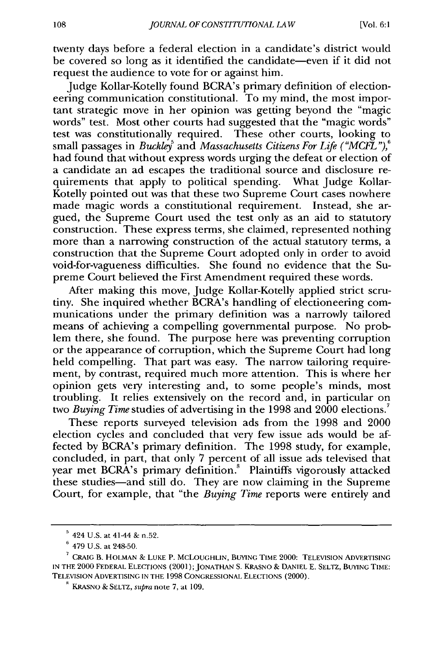twenty days before a federal election in a candidate's district would be covered so long as it identified the candidate-even if it did not request the audience to vote for or against him.

Judge Kollar-Kotelly found BCRA's primary definition of electioneering communication constitutional. To my mind, the most important strategic move in her opinion was getting beyond the "magic words" test. Most other courts had suggested that the "magic words" test was constitutionally required. These other courts, looking to small passages in *Buckley<sup>5</sup>* and *Massachusetts Citizens For Life* ("MCFL"), <sup>6</sup> had found that without express words urging the defeat or election of a candidate an ad escapes the traditional source and disclosure requirements that apply to political spending. What Judge Kollar-Kotelly pointed out was that these two Supreme Court cases nowhere made magic words a constitutional requirement. Instead, she argued, the Supreme Court used the test only as an aid to statutory construction. These express terms, she claimed, represented nothing more than a narrowing construction of the actual statutory terms, a construction that the Supreme Court adopted only in order to avoid void-for-vagueness difficulties. She found no evidence that the Supreme Court believed the First Amendment required these words.

After making this move, Judge Kollar-Kotelly applied strict scrutiny. She inquired whether BCRA's handling of electioneering communications under the primary definition was a narrowly tailored means of achieving a compelling governmental purpose. No problem there, she found. The purpose here was preventing corruption or the appearance of corruption, which the Supreme Court had long held compelling. That part was easy. The narrow tailoring requirement, by contrast, required much more attention. This is where her opinion gets very interesting and, to some people's minds, most troubling. It relies extensively on the record and, in particular on two *Buying Time* studies of advertising in the 1998 and 2000 elections.'

These reports surveyed television ads from the 1998 and 2000 election cycles and concluded that very few issue ads would be affected by BCRA's primary definition. The 1998 study, for example, concluded, in part, that only 7 percent of all issue ads televised that year met BCRA's primary definition.<sup>8</sup> Plaintiffs vigorously attacked these studies-and still do. They are now claiming in the Supreme Court, for example, that "the *Buying Time* reports were entirely and

**<sup>5</sup>**424 U.S. at 41-44 & n,52.

**<sup>6</sup>**479 U.S. at 248-50.

**<sup>7</sup>**CRAIG B. HOLMAN & LUKE P. MCLOUGHLIN, BUYING TIME 2000: TELEVISION ADVERTISING IN THE 2000 FEDERAL ELECTIONS (2001); JONATHAN **S.** KRASNO & DANIEL E. SELTZ, BUYING TIME: TELEVISION ADVERTISING IN THE 1998 CONGRESSIONAL ELECTIONS (2000).

**<sup>9</sup>**KRASNO & SELTZ, *supra* note 7, at 109.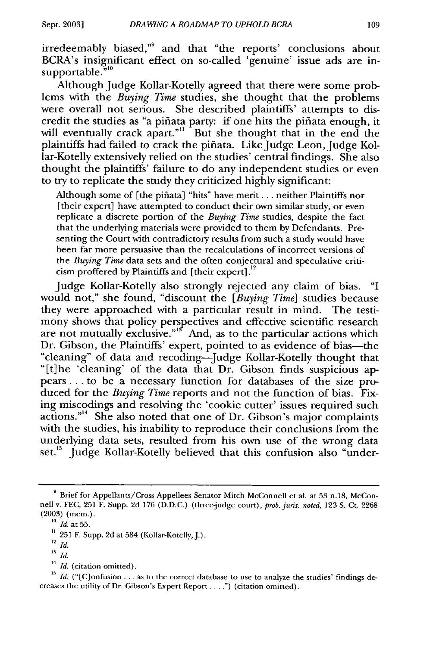irredeemably biased," and that "the reports' conclusions about BCRA's insignificant effect on so-called 'genuine' issue ads are insupportable."<sup>10</sup>

Although Judge Kollar-Kotelly agreed that there were some problems with the *Buying Time* studies, she thought that the problems were overall not serious. She described plaintiffs' attempts to discredit the studies as "a pifiata party: if one hits the pifiata enough, it will eventually crack apart."<sup>11</sup> But she thought that in the end the plaintiffs had failed to crack the pifiata. Like Judge Leon, Judge Kollar-Kotelly extensively relied on the studies' central findings. She also thought the plaintiffs' failure to do any independent studies or even to try to replicate the study they criticized highly significant:

Although some of [the piñata] "hits" have merit... neither Plaintiffs nor [their expert] have attempted to conduct their own similar study, or even replicate a discrete portion of the *Buying Time* studies, despite the fact that the underlying materials were provided to them by Defendants. Presenting the Court with contradictory results from such a study would have been far more persuasive than the recalculations of incorrect versions of the *Buying Time* data sets and the often conjectural and speculative criticism proffered by Plaintiffs and [their expert].<sup>12</sup>

Judge Kollar-Kotelly also strongly rejected any claim of bias. "I would not," she found, "discount the *[Buying Time]* studies because they were approached with a particular result in mind. The testimony shows that policy perspectives and effective scientific research are not mutually exclusive."<sup>15</sup> And, as to the particular actions which Dr. Gibson, the Plaintiffs' expert, pointed to as evidence of bias—the "cleaning" of data and recoding-Judge Kollar-Kotelly thought that "[t]he 'cleaning' of the data that Dr. Gibson finds suspicious appears... to be a necessary function for databases of the size produced for the *Buying Time* reports and not the function of bias. Fixing miscodings and resolving the 'cookie cutter' issues required such  $\alpha$  actions."<sup>14</sup> She also noted that one of Dr. Gibson's major complaints with the studies, his inability to reproduce their conclusions from the underlying data sets, resulted from his own use of the wrong data set.<sup>15</sup> Judge Kollar-Kotelly believed that this confusion also "under-

<sup>12</sup>*Id.*

<sup>14</sup> *Id.* (citation omitted).

**<sup>9</sup>** Brief for Appellants/Cross Appellees Senator Mitch McConnell et al. at 53 n.18, McConnell v. FEC, 251 F. Supp. 2d 176 (D.D.C.) (three-judge court), *prob. juris. noted,* 123 S. Ct. 2268 (2003) (mem.).

<sup>10</sup>*Id.* at 55.

**<sup>11</sup>** 251 F. Supp. 2d at 584 (Kollar-Kotelly,J.).

**<sup>13</sup>***Id.*

<sup>&</sup>lt;sup>15</sup> Id. ("[C]onfusion . . . as to the correct database to use to analyze the studies' findings decreases the utility of Dr. Gibson's Expert Report. ... **.")** (citation omitted).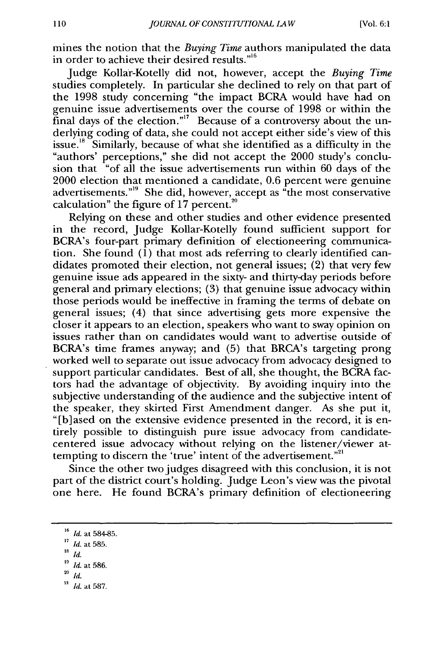mines the notion that the *Buying Time* authors manipulated the data in order to achieve their desired results."<sup>16</sup>

Judge Kollar-Kotelly did not, however, accept the *Buying Time* studies completely. In particular she declined to rely on that part of the 1998 study concerning "the impact BCRA would have had on genuine issue advertisements over the course of 1998 or within the final days of the election."<sup>17</sup> Because of a controversy about the underlying coding of data, she could not accept either side's view of this  $i$ ssue.<sup>18</sup> Similarly, because of what she identified as a difficulty in the "authors' perceptions," she did not accept the 2000 study's conclusion that "of all the issue advertisements run within 60 days of the 2000 election that mentioned a candidate, 0.6 percent were genuine advertisements. "19 She did, however, accept as "the most conservative calculation" the figure of  $17$  percent.<sup>20</sup>

Relying on these and other studies and other evidence presented in the record, Judge Kollar-Kotelly found sufficient support for BCRA's four-part primary definition of electioneering communication. She found (1) that most ads referring to clearly identified candidates promoted their election, not general issues; (2) that very few genuine issue ads appeared in the sixty- and thirty-day periods before general and primary elections; (3) that genuine issue advocacy within those periods would be ineffective in framing the terms of debate on general issues; (4) that since advertising gets more expensive the closer it appears to an election, speakers who want to sway opinion on issues rather than on candidates would want to advertise outside of BCRA's time frames anyway; and (5) that BRCA's targeting prong worked well to separate out issue advocacy from advocacy designed to support particular candidates. Best of all, she thought, the BCRA factors had the advantage of objectivity. By avoiding inquiry into the subjective understanding of the audience and the subjective intent of the speaker, they skirted First Amendment danger. As she put it, "[b]ased on the extensive evidence presented in the record, it is entirely possible to distinguish pure issue advocacy from candidatecentered issue advocacy without relying on the listener/viewer at-'centered issue advocacy without relying on the ilsteller/<br>tempting to discern the 'true' intent of the advertisement."<sup>2</sup>

Since the other two judges disagreed with this conclusion, it is not part of the district court's holding. Judge Leon's view was the pivotal one here. He found BCRA's primary definition of electioneering

- 
- *19 Id.* at 586.
- **<sup>20</sup>***Id.*
- <sup>21</sup> *Id.* at 587.

<sup>&</sup>lt;sup>16</sup> *Id.* at 584-85.

 $\frac{17}{18}$  *Id.* at 585.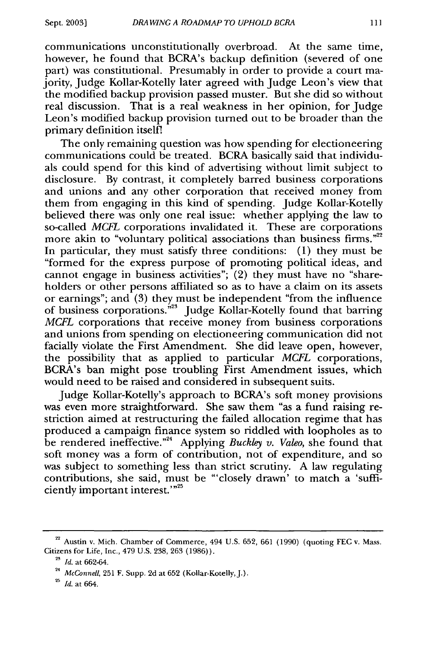communications unconstitutionally overbroad. At the same time, however, he found that BCRA's backup definition (severed of one part) was constitutional. Presumably in order to provide a court majority, Judge Kollar-Kotelly later agreed with Judge Leon's view that the modified backup provision passed muster. But she did so without real discussion. That is a real weakness in her opinion, for Judge Leon's modified backup provision turned out to be broader than the primary definition itselfl

The only remaining question was how spending for electioneering communications could be treated. BCRA basically said that individuals could spend for this kind of advertising without limit subject to disclosure. By contrast, it completely barred business corporations and unions and any other corporation that received money from them from engaging in this kind of spending. Judge Kollar-Kotelly believed there was only one real issue: whether applying the law to so-called *MCFL* corporations invalidated it. These are corporations more akin to "voluntary political associations than business firms."<sup>22</sup> In particular, they must satisfy three conditions: (1) they must be "formed for the express purpose of promoting political ideas, and cannot engage in business activities"; (2) they must have no "shareholders or other persons affiliated so as to have a claim on its assets or earnings"; and (3) they must be independent "from the influence of business corporations.<sup>523</sup> Judge Kollar-Kotelly found that barring *MCFL* corporations that receive money from business corporations and unions from spending on electioneering communication did not facially violate the First Amendment. She did leave open, however, the possibility that as applied to particular *MCFL* corporations, BCRA's ban might pose troubling First Amendment issues, which would need to be raised and considered in subsequent suits.

Judge Kollar-Kotelly's approach to BCRA's soft money provisions was even more straightforward. She saw them "as a fund raising restriction aimed at restructuring the failed allocation regime that has produced a campaign finance system so riddled with loopholes as to be rendered ineffective."<sup>24</sup> Applying *Buckley v. Valeo*, she found that soft money was a form of contribution, not of expenditure, and so was subject to something less than strict scrutiny. A law regulating contributions, she said, must be "'closely drawn' to match a 'sufficiently important interest. $^{1.25}$ 

 $22$  Austin v. Mich. Chamber of Commerce, 494 U.S. 652, 661 (1990) (quoting FEC v. Mass. Citizens for Life, Inc., 479 U.S. 238, 263 (1986)).

**<sup>23</sup>***Id.* at 662-64.

<sup>&</sup>lt;sup>24</sup> McConnell, 251 F. Supp. 2d at 652 (Kollar-Kotelly, J.).

**<sup>25</sup>***Id.* at 664.